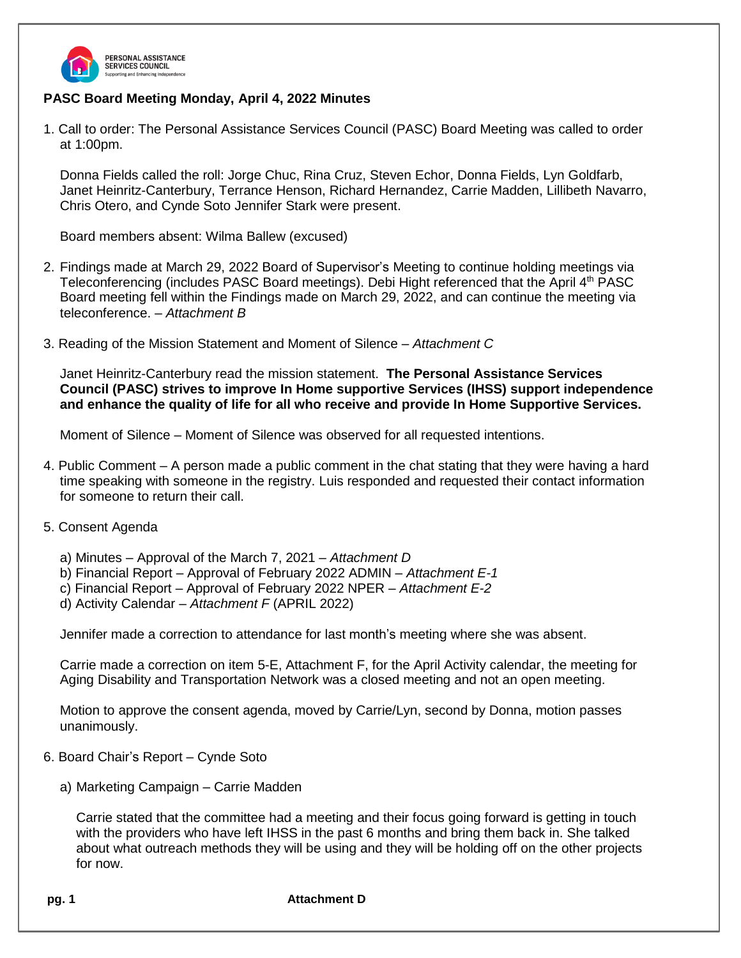

# **PASC Board Meeting Monday, April 4, 2022 Minutes**

1. Call to order: The Personal Assistance Services Council (PASC) Board Meeting was called to order at 1:00pm.

Donna Fields called the roll: Jorge Chuc, Rina Cruz, Steven Echor, Donna Fields, Lyn Goldfarb, Janet Heinritz-Canterbury, Terrance Henson, Richard Hernandez, Carrie Madden, Lillibeth Navarro, Chris Otero, and Cynde Soto Jennifer Stark were present.

Board members absent: Wilma Ballew (excused)

- 2. Findings made at March 29, 2022 Board of Supervisor's Meeting to continue holding meetings via Teleconferencing (includes PASC Board meetings). Debi Hight referenced that the April 4<sup>th</sup> PASC Board meeting fell within the Findings made on March 29, 2022, and can continue the meeting via teleconference. *– Attachment B*
- 3. Reading of the Mission Statement and Moment of Silence *Attachment C*

Janet Heinritz-Canterbury read the mission statement. **The Personal Assistance Services Council (PASC) strives to improve In Home supportive Services (IHSS) support independence and enhance the quality of life for all who receive and provide In Home Supportive Services.**

Moment of Silence – Moment of Silence was observed for all requested intentions.

- 4. Public Comment A person made a public comment in the chat stating that they were having a hard time speaking with someone in the registry. Luis responded and requested their contact information for someone to return their call.
- 5. Consent Agenda
	- a) Minutes Approval of the March 7, 2021 *Attachment D*
	- b) Financial Report Approval of February 2022 ADMIN *Attachment E-1*
	- c) Financial Report Approval of February 2022 NPER *Attachment E-2*
	- d) Activity Calendar *Attachment F* (APRIL 2022)

Jennifer made a correction to attendance for last month's meeting where she was absent.

Carrie made a correction on item 5-E, Attachment F, for the April Activity calendar, the meeting for Aging Disability and Transportation Network was a closed meeting and not an open meeting.

Motion to approve the consent agenda, moved by Carrie/Lyn, second by Donna, motion passes unanimously.

- 6. Board Chair's Report Cynde Soto
	- a) Marketing Campaign Carrie Madden

Carrie stated that the committee had a meeting and their focus going forward is getting in touch with the providers who have left IHSS in the past 6 months and bring them back in. She talked about what outreach methods they will be using and they will be holding off on the other projects for now.

**pg. 1 Attachment D**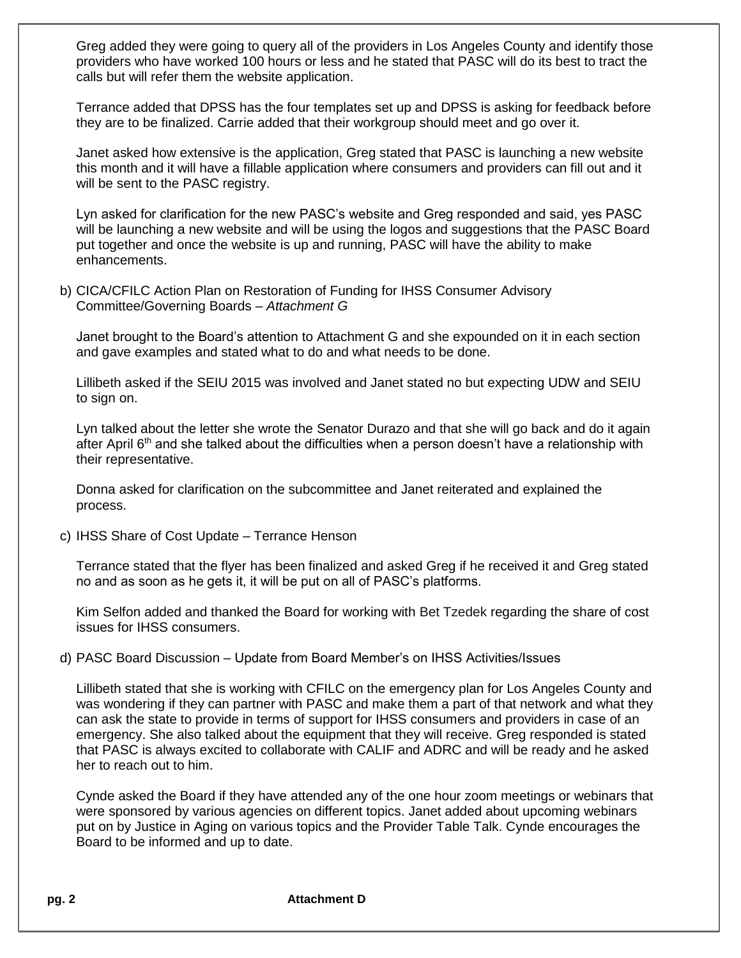Greg added they were going to query all of the providers in Los Angeles County and identify those providers who have worked 100 hours or less and he stated that PASC will do its best to tract the calls but will refer them the website application.

Terrance added that DPSS has the four templates set up and DPSS is asking for feedback before they are to be finalized. Carrie added that their workgroup should meet and go over it.

Janet asked how extensive is the application, Greg stated that PASC is launching a new website this month and it will have a fillable application where consumers and providers can fill out and it will be sent to the PASC registry.

Lyn asked for clarification for the new PASC's website and Greg responded and said, yes PASC will be launching a new website and will be using the logos and suggestions that the PASC Board put together and once the website is up and running, PASC will have the ability to make enhancements.

b) CICA/CFILC Action Plan on Restoration of Funding for IHSS Consumer Advisory Committee/Governing Boards – *Attachment G* 

Janet brought to the Board's attention to Attachment G and she expounded on it in each section and gave examples and stated what to do and what needs to be done.

Lillibeth asked if the SEIU 2015 was involved and Janet stated no but expecting UDW and SEIU to sign on.

Lyn talked about the letter she wrote the Senator Durazo and that she will go back and do it again after April  $6<sup>th</sup>$  and she talked about the difficulties when a person doesn't have a relationship with their representative.

Donna asked for clarification on the subcommittee and Janet reiterated and explained the process.

c) IHSS Share of Cost Update – Terrance Henson

Terrance stated that the flyer has been finalized and asked Greg if he received it and Greg stated no and as soon as he gets it, it will be put on all of PASC's platforms.

Kim Selfon added and thanked the Board for working with Bet Tzedek regarding the share of cost issues for IHSS consumers.

### d) PASC Board Discussion – Update from Board Member's on IHSS Activities/Issues

Lillibeth stated that she is working with CFILC on the emergency plan for Los Angeles County and was wondering if they can partner with PASC and make them a part of that network and what they can ask the state to provide in terms of support for IHSS consumers and providers in case of an emergency. She also talked about the equipment that they will receive. Greg responded is stated that PASC is always excited to collaborate with CALIF and ADRC and will be ready and he asked her to reach out to him.

Cynde asked the Board if they have attended any of the one hour zoom meetings or webinars that were sponsored by various agencies on different topics. Janet added about upcoming webinars put on by Justice in Aging on various topics and the Provider Table Talk. Cynde encourages the Board to be informed and up to date.

**pg. 2 Attachment D**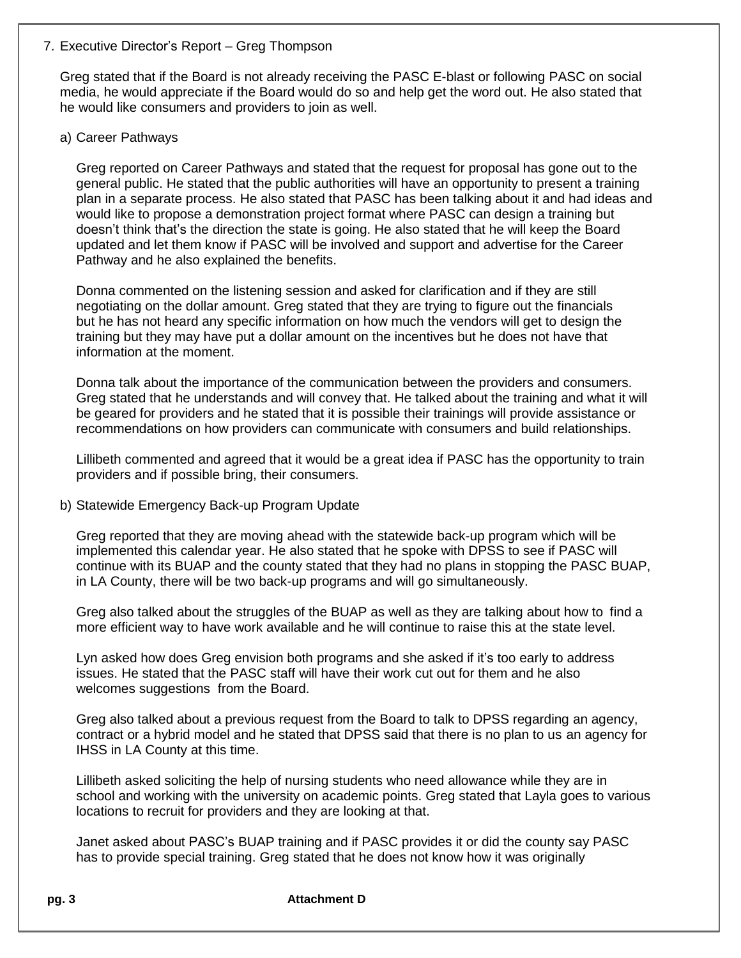### 7. Executive Director's Report – Greg Thompson

Greg stated that if the Board is not already receiving the PASC E-blast or following PASC on social media, he would appreciate if the Board would do so and help get the word out. He also stated that he would like consumers and providers to join as well.

## a) Career Pathways

Greg reported on Career Pathways and stated that the request for proposal has gone out to the general public. He stated that the public authorities will have an opportunity to present a training plan in a separate process. He also stated that PASC has been talking about it and had ideas and would like to propose a demonstration project format where PASC can design a training but doesn't think that's the direction the state is going. He also stated that he will keep the Board updated and let them know if PASC will be involved and support and advertise for the Career Pathway and he also explained the benefits.

Donna commented on the listening session and asked for clarification and if they are still negotiating on the dollar amount. Greg stated that they are trying to figure out the financials but he has not heard any specific information on how much the vendors will get to design the training but they may have put a dollar amount on the incentives but he does not have that information at the moment.

Donna talk about the importance of the communication between the providers and consumers. Greg stated that he understands and will convey that. He talked about the training and what it will be geared for providers and he stated that it is possible their trainings will provide assistance or recommendations on how providers can communicate with consumers and build relationships.

Lillibeth commented and agreed that it would be a great idea if PASC has the opportunity to train providers and if possible bring, their consumers.

# b) Statewide Emergency Back-up Program Update

Greg reported that they are moving ahead with the statewide back-up program which will be implemented this calendar year. He also stated that he spoke with DPSS to see if PASC will continue with its BUAP and the county stated that they had no plans in stopping the PASC BUAP, in LA County, there will be two back-up programs and will go simultaneously.

Greg also talked about the struggles of the BUAP as well as they are talking about how to find a more efficient way to have work available and he will continue to raise this at the state level.

Lyn asked how does Greg envision both programs and she asked if it's too early to address issues. He stated that the PASC staff will have their work cut out for them and he also welcomes suggestions from the Board.

Greg also talked about a previous request from the Board to talk to DPSS regarding an agency, contract or a hybrid model and he stated that DPSS said that there is no plan to us an agency for IHSS in LA County at this time.

Lillibeth asked soliciting the help of nursing students who need allowance while they are in school and working with the university on academic points. Greg stated that Layla goes to various locations to recruit for providers and they are looking at that.

Janet asked about PASC's BUAP training and if PASC provides it or did the county say PASC has to provide special training. Greg stated that he does not know how it was originally

**pg. 3 Attachment D**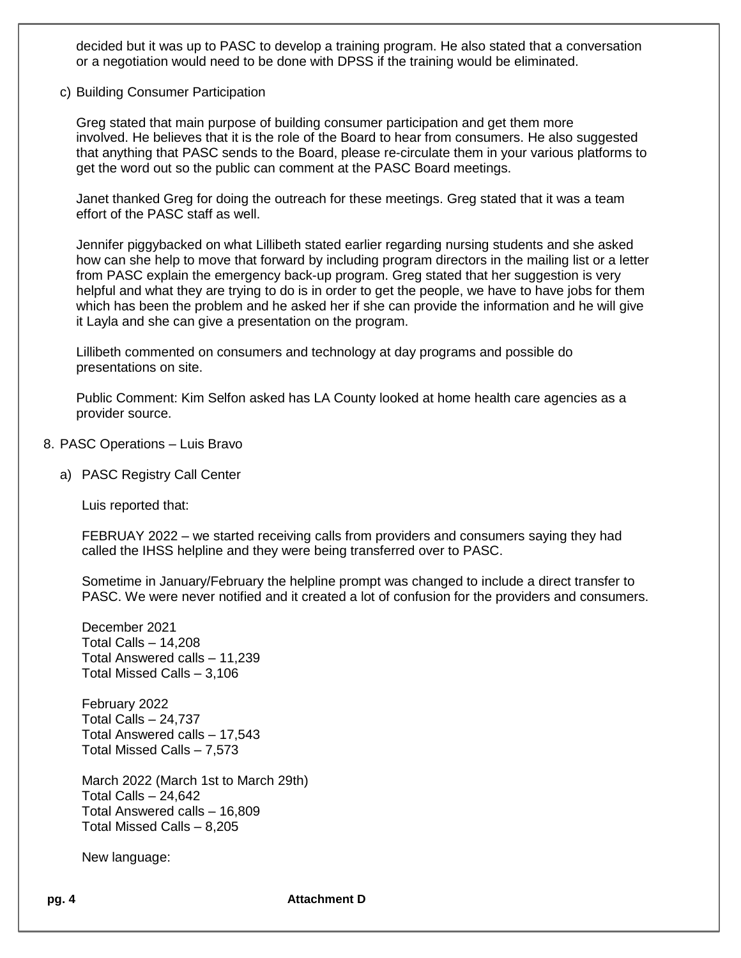decided but it was up to PASC to develop a training program. He also stated that a conversation or a negotiation would need to be done with DPSS if the training would be eliminated.

c) Building Consumer Participation

Greg stated that main purpose of building consumer participation and get them more involved. He believes that it is the role of the Board to hear from consumers. He also suggested that anything that PASC sends to the Board, please re-circulate them in your various platforms to get the word out so the public can comment at the PASC Board meetings.

Janet thanked Greg for doing the outreach for these meetings. Greg stated that it was a team effort of the PASC staff as well.

Jennifer piggybacked on what Lillibeth stated earlier regarding nursing students and she asked how can she help to move that forward by including program directors in the mailing list or a letter from PASC explain the emergency back-up program. Greg stated that her suggestion is very helpful and what they are trying to do is in order to get the people, we have to have jobs for them which has been the problem and he asked her if she can provide the information and he will give it Layla and she can give a presentation on the program.

Lillibeth commented on consumers and technology at day programs and possible do presentations on site.

Public Comment: Kim Selfon asked has LA County looked at home health care agencies as a provider source.

- 8. PASC Operations Luis Bravo
	- a) PASC Registry Call Center

Luis reported that:

FEBRUAY 2022 – we started receiving calls from providers and consumers saying they had called the IHSS helpline and they were being transferred over to PASC.

Sometime in January/February the helpline prompt was changed to include a direct transfer to PASC. We were never notified and it created a lot of confusion for the providers and consumers.

December 2021 Total Calls – 14,208 Total Answered calls – 11,239 Total Missed Calls – 3,106

February 2022 Total Calls – 24,737 Total Answered calls – 17,543 Total Missed Calls – 7,573

March 2022 (March 1st to March 29th) Total Calls – 24,642 Total Answered calls – 16,809 Total Missed Calls – 8,205

New language:

**pg. 4 Attachment D**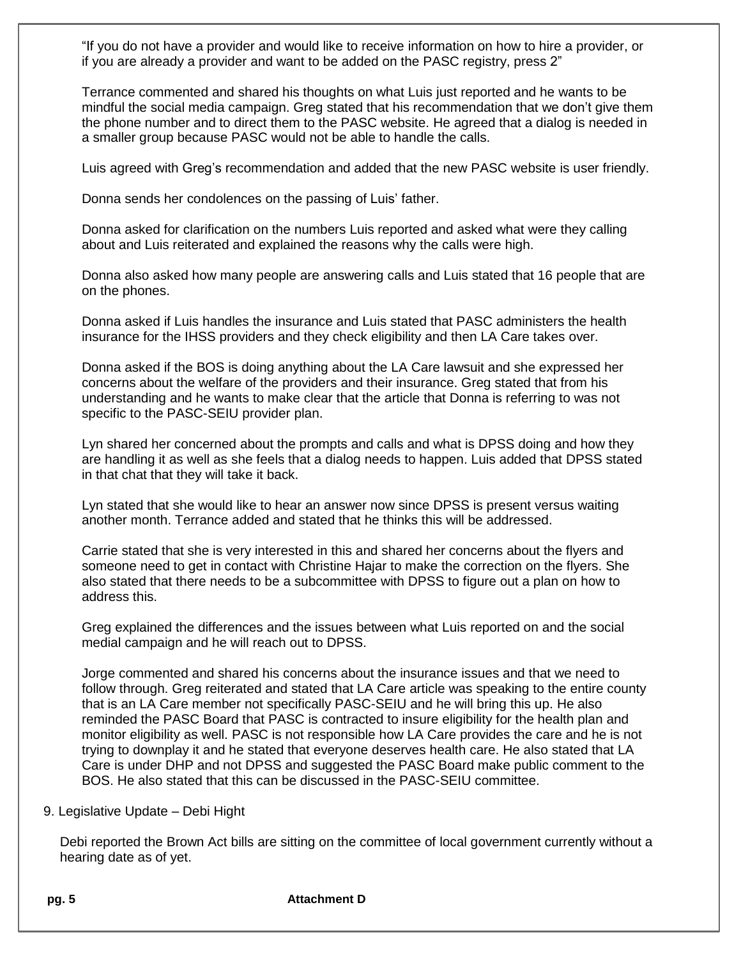"If you do not have a provider and would like to receive information on how to hire a provider, or if you are already a provider and want to be added on the PASC registry, press 2"

Terrance commented and shared his thoughts on what Luis just reported and he wants to be mindful the social media campaign. Greg stated that his recommendation that we don't give them the phone number and to direct them to the PASC website. He agreed that a dialog is needed in a smaller group because PASC would not be able to handle the calls.

Luis agreed with Greg's recommendation and added that the new PASC website is user friendly.

Donna sends her condolences on the passing of Luis' father.

Donna asked for clarification on the numbers Luis reported and asked what were they calling about and Luis reiterated and explained the reasons why the calls were high.

Donna also asked how many people are answering calls and Luis stated that 16 people that are on the phones.

Donna asked if Luis handles the insurance and Luis stated that PASC administers the health insurance for the IHSS providers and they check eligibility and then LA Care takes over.

Donna asked if the BOS is doing anything about the LA Care lawsuit and she expressed her concerns about the welfare of the providers and their insurance. Greg stated that from his understanding and he wants to make clear that the article that Donna is referring to was not specific to the PASC-SEIU provider plan.

Lyn shared her concerned about the prompts and calls and what is DPSS doing and how they are handling it as well as she feels that a dialog needs to happen. Luis added that DPSS stated in that chat that they will take it back.

Lyn stated that she would like to hear an answer now since DPSS is present versus waiting another month. Terrance added and stated that he thinks this will be addressed.

Carrie stated that she is very interested in this and shared her concerns about the flyers and someone need to get in contact with Christine Hajar to make the correction on the flyers. She also stated that there needs to be a subcommittee with DPSS to figure out a plan on how to address this.

Greg explained the differences and the issues between what Luis reported on and the social medial campaign and he will reach out to DPSS.

Jorge commented and shared his concerns about the insurance issues and that we need to follow through. Greg reiterated and stated that LA Care article was speaking to the entire county that is an LA Care member not specifically PASC-SEIU and he will bring this up. He also reminded the PASC Board that PASC is contracted to insure eligibility for the health plan and monitor eligibility as well. PASC is not responsible how LA Care provides the care and he is not trying to downplay it and he stated that everyone deserves health care. He also stated that LA Care is under DHP and not DPSS and suggested the PASC Board make public comment to the BOS. He also stated that this can be discussed in the PASC-SEIU committee.

### 9. Legislative Update – Debi Hight

Debi reported the Brown Act bills are sitting on the committee of local government currently without a hearing date as of yet.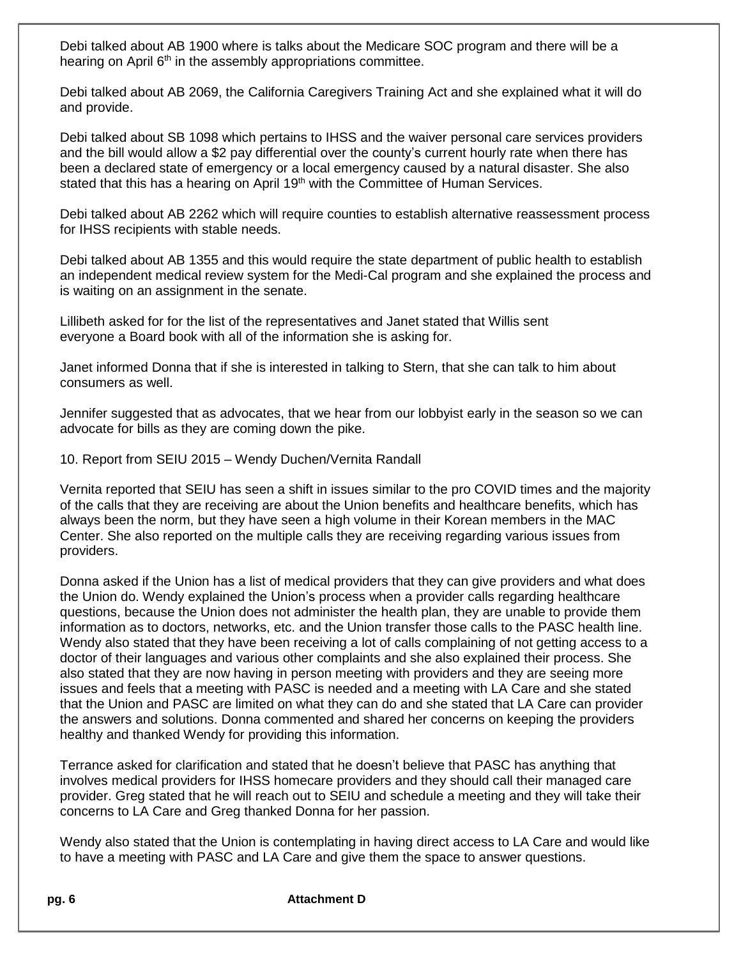Debi talked about AB 1900 where is talks about the Medicare SOC program and there will be a hearing on April 6<sup>th</sup> in the assembly appropriations committee.

Debi talked about AB 2069, the California Caregivers Training Act and she explained what it will do and provide.

Debi talked about SB 1098 which pertains to IHSS and the waiver personal care services providers and the bill would allow a \$2 pay differential over the county's current hourly rate when there has been a declared state of emergency or a local emergency caused by a natural disaster. She also stated that this has a hearing on April 19<sup>th</sup> with the Committee of Human Services.

Debi talked about AB 2262 which will require counties to establish alternative reassessment process for IHSS recipients with stable needs.

Debi talked about AB 1355 and this would require the state department of public health to establish an independent medical review system for the Medi-Cal program and she explained the process and is waiting on an assignment in the senate.

Lillibeth asked for for the list of the representatives and Janet stated that Willis sent everyone a Board book with all of the information she is asking for.

Janet informed Donna that if she is interested in talking to Stern, that she can talk to him about consumers as well.

Jennifer suggested that as advocates, that we hear from our lobbyist early in the season so we can advocate for bills as they are coming down the pike.

10. Report from SEIU 2015 – Wendy Duchen/Vernita Randall

Vernita reported that SEIU has seen a shift in issues similar to the pro COVID times and the majority of the calls that they are receiving are about the Union benefits and healthcare benefits, which has always been the norm, but they have seen a high volume in their Korean members in the MAC Center. She also reported on the multiple calls they are receiving regarding various issues from providers.

Donna asked if the Union has a list of medical providers that they can give providers and what does the Union do. Wendy explained the Union's process when a provider calls regarding healthcare questions, because the Union does not administer the health plan, they are unable to provide them information as to doctors, networks, etc. and the Union transfer those calls to the PASC health line. Wendy also stated that they have been receiving a lot of calls complaining of not getting access to a doctor of their languages and various other complaints and she also explained their process. She also stated that they are now having in person meeting with providers and they are seeing more issues and feels that a meeting with PASC is needed and a meeting with LA Care and she stated that the Union and PASC are limited on what they can do and she stated that LA Care can provider the answers and solutions. Donna commented and shared her concerns on keeping the providers healthy and thanked Wendy for providing this information.

Terrance asked for clarification and stated that he doesn't believe that PASC has anything that involves medical providers for IHSS homecare providers and they should call their managed care provider. Greg stated that he will reach out to SEIU and schedule a meeting and they will take their concerns to LA Care and Greg thanked Donna for her passion.

Wendy also stated that the Union is contemplating in having direct access to LA Care and would like to have a meeting with PASC and LA Care and give them the space to answer questions.

**pg. 6 Attachment D**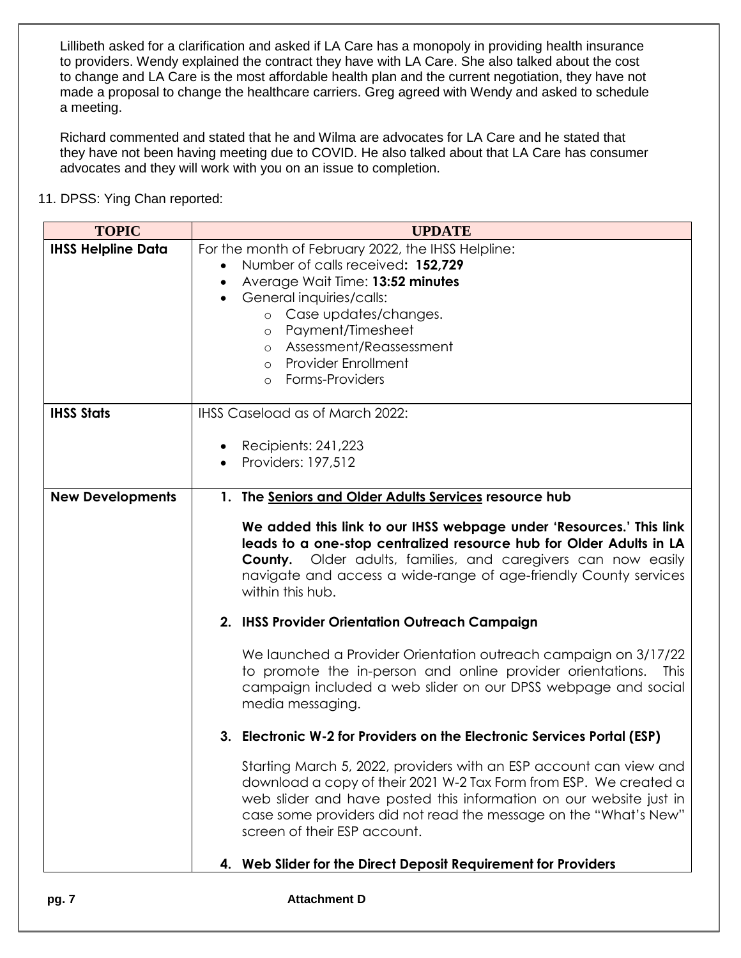Lillibeth asked for a clarification and asked if LA Care has a monopoly in providing health insurance to providers. Wendy explained the contract they have with LA Care. She also talked about the cost to change and LA Care is the most affordable health plan and the current negotiation, they have not made a proposal to change the healthcare carriers. Greg agreed with Wendy and asked to schedule a meeting.

Richard commented and stated that he and Wilma are advocates for LA Care and he stated that they have not been having meeting due to COVID. He also talked about that LA Care has consumer advocates and they will work with you on an issue to completion.

11. DPSS: Ying Chan reported:

| <b>TOPIC</b>              | <b>UPDATE</b>                                                                                                                                                                                                                                                                                                     |
|---------------------------|-------------------------------------------------------------------------------------------------------------------------------------------------------------------------------------------------------------------------------------------------------------------------------------------------------------------|
| <b>IHSS Helpline Data</b> | For the month of February 2022, the IHSS Helpline:                                                                                                                                                                                                                                                                |
|                           | Number of calls received: 152,729                                                                                                                                                                                                                                                                                 |
|                           | Average Wait Time: 13:52 minutes                                                                                                                                                                                                                                                                                  |
|                           | General inquiries/calls:<br>$\bullet$                                                                                                                                                                                                                                                                             |
|                           | Case updates/changes.<br>$\circ$                                                                                                                                                                                                                                                                                  |
|                           | Payment/Timesheet<br>$\circ$                                                                                                                                                                                                                                                                                      |
|                           | o Assessment/Reassessment                                                                                                                                                                                                                                                                                         |
|                           | <b>Provider Enrollment</b><br>$\circ$                                                                                                                                                                                                                                                                             |
|                           | Forms-Providers<br>$\circ$                                                                                                                                                                                                                                                                                        |
|                           |                                                                                                                                                                                                                                                                                                                   |
| <b>IHSS Stats</b>         | IHSS Caseload as of March 2022:                                                                                                                                                                                                                                                                                   |
|                           |                                                                                                                                                                                                                                                                                                                   |
|                           | Recipients: 241,223<br>Providers: 197,512                                                                                                                                                                                                                                                                         |
|                           |                                                                                                                                                                                                                                                                                                                   |
| <b>New Developments</b>   | 1. The Seniors and Older Adults Services resource hub                                                                                                                                                                                                                                                             |
|                           | We added this link to our IHSS webpage under 'Resources.' This link<br>leads to a one-stop centralized resource hub for Older Adults in LA<br>Older adults, families, and caregivers can now easily<br>County.<br>navigate and access a wide-range of age-friendly County services<br>within this hub.            |
|                           | 2. IHSS Provider Orientation Outreach Campaign                                                                                                                                                                                                                                                                    |
|                           | We launched a Provider Orientation outreach campaign on 3/17/22<br>to promote the in-person and online provider orientations.<br><b>This</b><br>campaign included a web slider on our DPSS webpage and social<br>media messaging.                                                                                 |
|                           | 3. Electronic W-2 for Providers on the Electronic Services Portal (ESP)                                                                                                                                                                                                                                           |
|                           | Starting March 5, 2022, providers with an ESP account can view and<br>download a copy of their 2021 W-2 Tax Form from ESP. We created a<br>web slider and have posted this information on our website just in<br>case some providers did not read the message on the "What's New"<br>screen of their ESP account. |
|                           | 4. Web Slider for the Direct Deposit Requirement for Providers                                                                                                                                                                                                                                                    |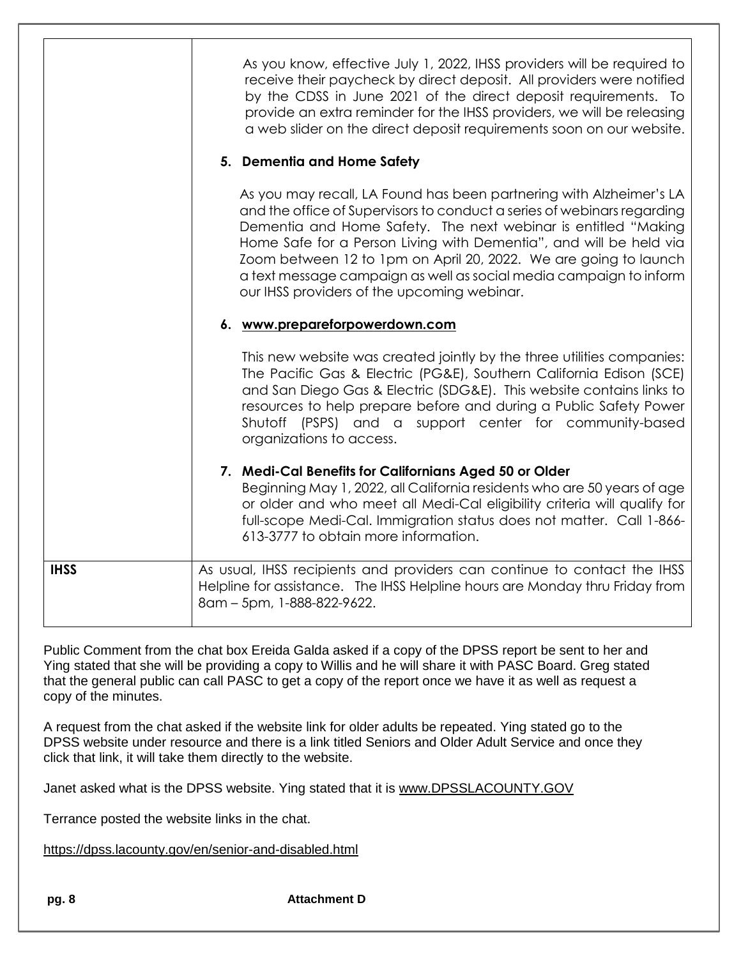|             | As you know, effective July 1, 2022, IHSS providers will be required to<br>receive their paycheck by direct deposit. All providers were notified<br>by the CDSS in June 2021 of the direct deposit requirements. To<br>provide an extra reminder for the IHSS providers, we will be releasing<br>a web slider on the direct deposit requirements soon on our website.                                                                                                           |
|-------------|---------------------------------------------------------------------------------------------------------------------------------------------------------------------------------------------------------------------------------------------------------------------------------------------------------------------------------------------------------------------------------------------------------------------------------------------------------------------------------|
|             | 5. Dementia and Home Safety                                                                                                                                                                                                                                                                                                                                                                                                                                                     |
|             | As you may recall, LA Found has been partnering with Alzheimer's LA<br>and the office of Supervisors to conduct a series of webinars regarding<br>Dementia and Home Safety. The next webinar is entitled "Making<br>Home Safe for a Person Living with Dementia", and will be held via<br>Zoom between 12 to 1pm on April 20, 2022. We are going to launch<br>a text message campaign as well as social media campaign to inform<br>our IHSS providers of the upcoming webinar. |
|             | 6. www.prepareforpowerdown.com                                                                                                                                                                                                                                                                                                                                                                                                                                                  |
|             | This new website was created jointly by the three utilities companies:<br>The Pacific Gas & Electric (PG&E), Southern California Edison (SCE)<br>and San Diego Gas & Electric (SDG&E). This website contains links to<br>resources to help prepare before and during a Public Safety Power<br>Shutoff (PSPS) and a support center for community-based<br>organizations to access.                                                                                               |
|             | 7. Medi-Cal Benefits for Californians Aged 50 or Older<br>Beginning May 1, 2022, all California residents who are 50 years of age<br>or older and who meet all Medi-Cal eligibility criteria will qualify for<br>full-scope Medi-Cal. Immigration status does not matter. Call 1-866-<br>613-3777 to obtain more information.                                                                                                                                                   |
| <b>IHSS</b> | As usual, IHSS recipients and providers can continue to contact the IHSS<br>Helpline for assistance. The IHSS Helpline hours are Monday thru Friday from<br>8am - 5pm, 1-888-822-9622.                                                                                                                                                                                                                                                                                          |

Public Comment from the chat box Ereida Galda asked if a copy of the DPSS report be sent to her and Ying stated that she will be providing a copy to Willis and he will share it with PASC Board. Greg stated that the general public can call PASC to get a copy of the report once we have it as well as request a copy of the minutes.

A request from the chat asked if the website link for older adults be repeated. Ying stated go to the DPSS website under resource and there is a link titled Seniors and Older Adult Service and once they click that link, it will take them directly to the website.

Janet asked what is the DPSS website. Ying stated that it is [www.DPSSLACOUNTY.GOV](http://www.dpsslacounty.gov/)

Terrance posted the website links in the chat.

<https://dpss.lacounty.gov/en/senior-and-disabled.html>

**pg. 8 Attachment D**